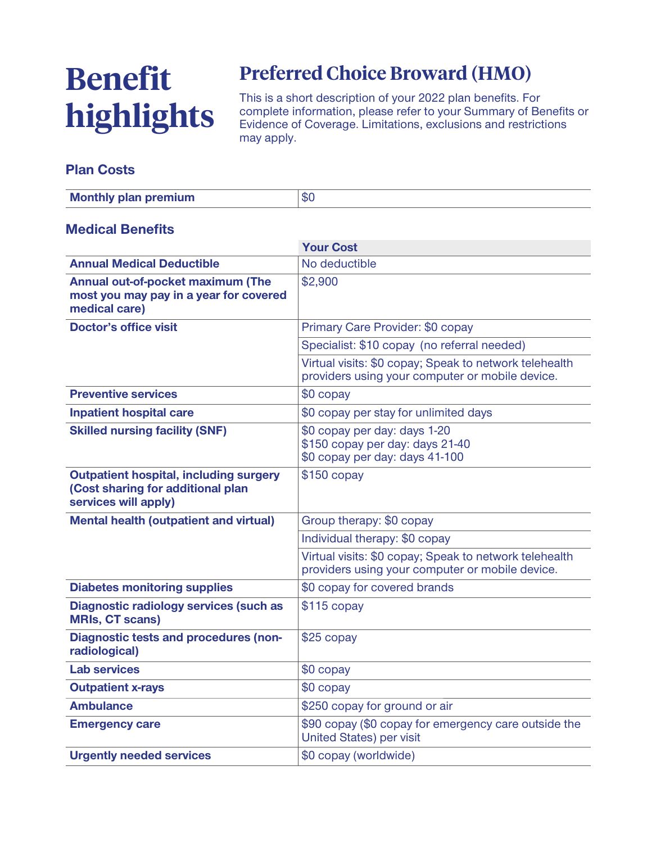# **Benefit highlights**

## **Preferred Choice Broward (HMO)**

**This is a short description of your 2022 plan benefits. For complete information, please refer to your Summary of Benefits or Evidence of Coverage. Limitations, exclusions and restrictions may apply.**

#### **Plan Costs**

| <b>Monthly plan premium</b> | \$0 |
|-----------------------------|-----|
|-----------------------------|-----|

#### **Medical Benefits**

|                                                                                                            | <b>Your Cost</b>                                                                                          |  |
|------------------------------------------------------------------------------------------------------------|-----------------------------------------------------------------------------------------------------------|--|
| <b>Annual Medical Deductible</b>                                                                           | No deductible                                                                                             |  |
| Annual out-of-pocket maximum (The<br>most you may pay in a year for covered<br>medical care)               | \$2,900                                                                                                   |  |
| <b>Doctor's office visit</b>                                                                               | Primary Care Provider: \$0 copay                                                                          |  |
|                                                                                                            | Specialist: \$10 copay (no referral needed)                                                               |  |
|                                                                                                            | Virtual visits: \$0 copay; Speak to network telehealth<br>providers using your computer or mobile device. |  |
| <b>Preventive services</b>                                                                                 | \$0 copay                                                                                                 |  |
| <b>Inpatient hospital care</b>                                                                             | \$0 copay per stay for unlimited days                                                                     |  |
| <b>Skilled nursing facility (SNF)</b>                                                                      | \$0 copay per day: days 1-20<br>\$150 copay per day: days 21-40<br>\$0 copay per day: days 41-100         |  |
| <b>Outpatient hospital, including surgery</b><br>(Cost sharing for additional plan<br>services will apply) | $$150$ copay                                                                                              |  |
| <b>Mental health (outpatient and virtual)</b>                                                              | Group therapy: \$0 copay                                                                                  |  |
|                                                                                                            | Individual therapy: \$0 copay                                                                             |  |
|                                                                                                            | Virtual visits: \$0 copay; Speak to network telehealth<br>providers using your computer or mobile device. |  |
| <b>Diabetes monitoring supplies</b>                                                                        | \$0 copay for covered brands                                                                              |  |
| <b>Diagnostic radiology services (such as</b><br><b>MRIs, CT scans)</b>                                    | $$115$ copay                                                                                              |  |
| <b>Diagnostic tests and procedures (non-</b><br>radiological)                                              | \$25 copay                                                                                                |  |
| <b>Lab services</b>                                                                                        | \$0 copay                                                                                                 |  |
| <b>Outpatient x-rays</b>                                                                                   | $$0$ copay                                                                                                |  |
| <b>Ambulance</b>                                                                                           | \$250 copay for ground or air                                                                             |  |
| <b>Emergency care</b>                                                                                      | \$90 copay (\$0 copay for emergency care outside the<br><b>United States) per visit</b>                   |  |
| <b>Urgently needed services</b>                                                                            | \$0 copay (worldwide)                                                                                     |  |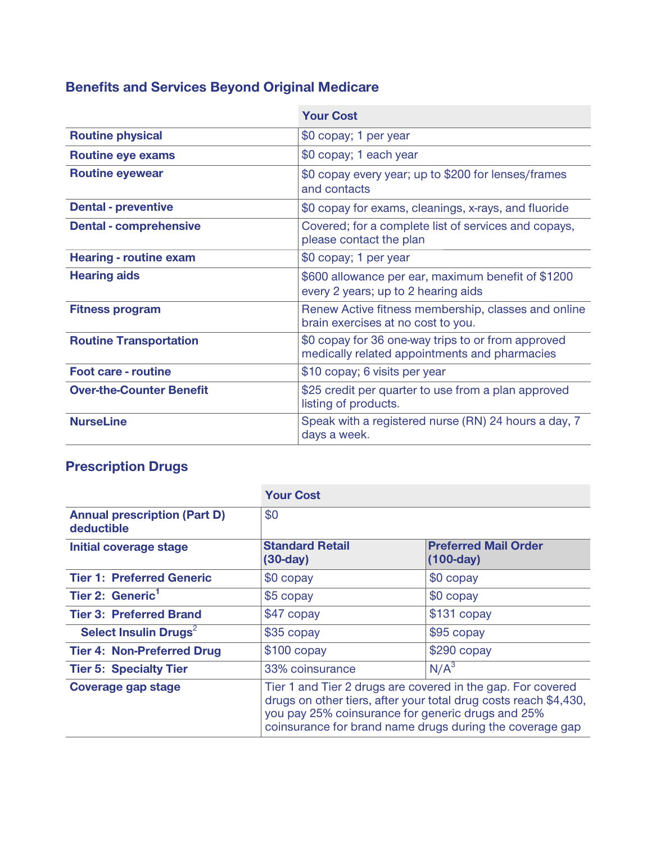## **Benefits and Services Beyond Original Medicare**

|                                 | <b>Your Cost</b>                                                                                    |
|---------------------------------|-----------------------------------------------------------------------------------------------------|
| <b>Routine physical</b>         | \$0 copay; 1 per year                                                                               |
| <b>Routine eye exams</b>        | \$0 copay; 1 each year                                                                              |
| <b>Routine eyewear</b>          | \$0 copay every year; up to \$200 for lenses/frames<br>and contacts                                 |
| <b>Dental - preventive</b>      | \$0 copay for exams, cleanings, x-rays, and fluoride                                                |
| <b>Dental - comprehensive</b>   | Covered; for a complete list of services and copays,<br>please contact the plan                     |
| <b>Hearing - routine exam</b>   | \$0 copay; 1 per year                                                                               |
| <b>Hearing aids</b>             | \$600 allowance per ear, maximum benefit of \$1200<br>every 2 years; up to 2 hearing aids           |
| <b>Fitness program</b>          | Renew Active fitness membership, classes and online<br>brain exercises at no cost to you.           |
| <b>Routine Transportation</b>   | \$0 copay for 36 one-way trips to or from approved<br>medically related appointments and pharmacies |
| <b>Foot care - routine</b>      | \$10 copay; 6 visits per year                                                                       |
| <b>Over-the-Counter Benefit</b> | \$25 credit per quarter to use from a plan approved<br>listing of products.                         |
| <b>NurseLine</b>                | Speak with a registered nurse (RN) 24 hours a day, 7<br>days a week.                                |

### **Prescription Drugs**

|                                                   | <b>Your Cost</b>                                                                                                                                                                                                                                 |                                            |
|---------------------------------------------------|--------------------------------------------------------------------------------------------------------------------------------------------------------------------------------------------------------------------------------------------------|--------------------------------------------|
| <b>Annual prescription (Part D)</b><br>deductible | \$0                                                                                                                                                                                                                                              |                                            |
| Initial coverage stage                            | <b>Standard Retail</b><br>$(30-day)$                                                                                                                                                                                                             | <b>Preferred Mail Order</b><br>$(100-day)$ |
| <b>Tier 1: Preferred Generic</b>                  | \$0 copay                                                                                                                                                                                                                                        | \$0 copay                                  |
| Tier 2: Generic <sup>1</sup>                      | \$5 copay                                                                                                                                                                                                                                        | \$0 copay                                  |
| <b>Tier 3: Preferred Brand</b>                    | \$47 copay                                                                                                                                                                                                                                       | $$131$ copay                               |
| Select Insulin Drugs <sup>2</sup>                 | \$35 copay                                                                                                                                                                                                                                       | \$95 copay                                 |
| <b>Tier 4: Non-Preferred Drug</b>                 | $$100$ copay                                                                                                                                                                                                                                     | $$290$ copay                               |
| <b>Tier 5: Specialty Tier</b>                     | 33% coinsurance                                                                                                                                                                                                                                  | N/A <sup>3</sup>                           |
| <b>Coverage gap stage</b>                         | Tier 1 and Tier 2 drugs are covered in the gap. For covered<br>drugs on other tiers, after your total drug costs reach \$4,430,<br>you pay 25% coinsurance for generic drugs and 25%<br>coinsurance for brand name drugs during the coverage gap |                                            |